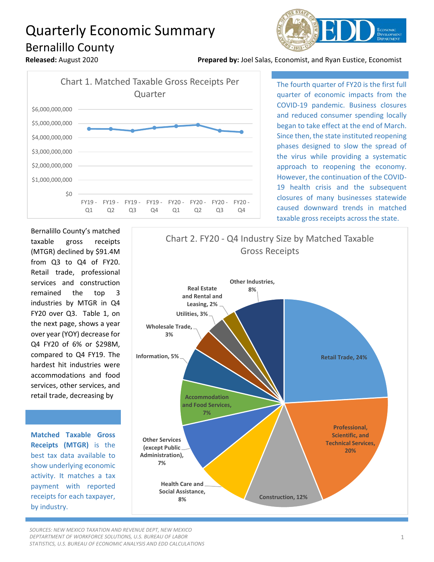## Quarterly Economic Summary Bernalillo County



**Released:** August 2020 **Prepared by:** Joel Salas, Economist, and Ryan Eustice, Economist



The fourth quarter of FY20 is the first full quarter of economic impacts from the COVID-19 pandemic. Business closures and reduced consumer spending locally began to take effect at the end of March. Since then, the state instituted reopening phases designed to slow the spread of the virus while providing a systematic approach to reopening the economy. However, the continuation of the COVID-19 health crisis and the subsequent closures of many businesses statewide caused downward trends in matched taxable gross receipts across the state.

Bernalillo County's matched taxable gross receipts (MTGR) declined by \$91.4M from Q3 to Q4 of FY20. Retail trade, professional services and construction remained the top 3 industries by MTGR in Q4 FY20 over Q3. Table 1, on the next page, shows a year over year (YOY) decrease for Q4 FY20 of 6% or \$298M, compared to Q4 FY19. The hardest hit industries were accommodations and food services, other services, and retail trade, decreasing by

**Matched Taxable Gross Receipts (MTGR)** is the best tax data available to show underlying economic activity. It matches a tax payment with reported receipts for each taxpayer, by industry.



*SOURCES: NEW MEXICO TAXATION AND REVENUE DEPT, NEW MEXICO DEPTARTMENT OF WORKFORCE SOLUTIONS, U.S. BUREAU OF LABOR STATISTICS, U.S. BUREAU OF ECONOMIC ANALYSIS AND EDD CALCULATIONS*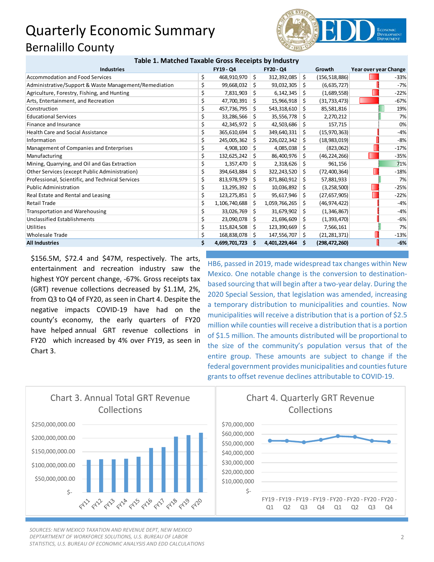## Quarterly Economic Summary Bernalillo County



| Table 1. Matched Taxable Gross Receipts by Illudstry  |    |               |     |                  |     |                 |                       |
|-------------------------------------------------------|----|---------------|-----|------------------|-----|-----------------|-----------------------|
| <b>Industries</b>                                     |    | FY19 - Q4     |     | FY20 - Q4        |     | Growth          | Year over year Change |
| Accommodation and Food Services                       | \$ | 468,910,970   | \$  | 312,392,085      | 5   | (156, 518, 886) | $-33%$                |
| Administrative/Support & Waste Management/Remediation |    | 99,668,032    | \$  | 93,032,305       | 5   | (6,635,727)     | $-7%$                 |
| Agriculture, Forestry, Fishing, and Hunting           |    | 7,831,903     | Ŝ.  | $6,142,345$ \$   |     | (1,689,558)     | $-22%$                |
| Arts, Entertainment, and Recreation                   |    | 47,700,391    | \$. | 15,966,918   \$  |     | (31, 733, 473)  | $-67%$                |
| Construction                                          |    | 457,736,795   | Ŝ.  | $543,318,610$ \$ |     | 85,581,816      | 19%                   |
| <b>Educational Services</b>                           |    | 33,286,566    | Ŝ   | $35,556,778$ \$  |     | 2,270,212       | 7%                    |
| Finance and Insurance                                 |    | 42,345,972    | S   | 42,503,686       | -S  | 157,715         | 0%                    |
| <b>Health Care and Social Assistance</b>              | \$ | 365,610,694   | Ŝ.  | 349,640,331      | Ŝ.  | (15,970,363)    | $-4%$                 |
| Information                                           |    | 245,005,362   | Ŝ.  | 226,022,342      | -S  | (18,983,019)    | $-8%$                 |
| Management of Companies and Enterprises               | \$ | 4,908,100     | \$  | $4,085,038$ \$   |     | (823,062)       | $-17%$                |
| Manufacturing                                         |    | 132,625,242   | Ŝ.  | 86,400,976 \$    |     | (46, 224, 266)  | $-35%$                |
| Mining, Quarrying, and Oil and Gas Extraction         |    | 1,357,470     | \$. | $2,318,626$ \$   |     | 961,156         | 71%                   |
| Other Services (except Public Administration)         |    | 394,643,884   | Ŝ.  | $322,243,520$ \$ |     | (72, 400, 364)  | $-18%$                |
| Professional, Scientific, and Technical Services      |    | 813,978,979   | Ŝ.  | 871,860,912      | Ŝ.  | 57,881,933      | 7%                    |
| <b>Public Administration</b>                          |    | 13,295,392    | Ŝ.  | 10,036,892       | Ŝ.  | (3, 258, 500)   | $-25%$                |
| Real Estate and Rental and Leasing                    | \$ | 123,275,851   | S   | 95,617,946       | -\$ | (27, 657, 905)  | $-22%$                |
| <b>Retail Trade</b>                                   | \$ | 1,106,740,688 | S   | 1,059,766,265    | -S  | (46,974,422)    | $-4%$                 |
| <b>Transportation and Warehousing</b>                 | \$ | 33,026,769    | \$. | 31,679,902       | -S  | (1,346,867)     | $-4%$                 |
| Unclassified Establishments                           |    | 23,090,078    | \$. | $21,696,609$ \$  |     | (1,393,470)     | $-6%$                 |
| <b>Utilities</b>                                      |    | 115,824,508   | \$. | 123,390,669      | -\$ | 7,566,161       | 7%                    |
| <b>Wholesale Trade</b>                                |    | 168,838,078   | S   | 147,556,707 \$   |     | (21, 281, 371)  | $-13%$                |
| <b>All Industries</b>                                 |    | 4,699,701,723 | S   | 4,401,229,464    | -S  | (298, 472, 260) | $-6%$                 |

**Table 1. Matched Taxable Gross Receipts by Industry**

\$156.5M, \$72.4 and \$47M, respectively. The arts, entertainment and recreation industry saw the highest YOY percent change, -67%. Gross receipts tax (GRT) revenue collections decreased by \$1.1M, 2%, from Q3 to Q4 of FY20, as seen in Chart 4. Despite the negative impacts COVID-19 have had on the county's economy, the early quarters of FY20 have helped annual GRT revenue collections in FY20 which increased by 4% over FY19, as seen in Chart 3.

HB6, passed in 2019, made widespread tax changes within New Mexico. One notable change is the conversion to destinationbased sourcing that will begin after a two-year delay. During the 2020 Special Session, that legislation was amended, increasing a temporary distribution to municipalities and counties. Now municipalities will receive a distribution that is a portion of \$2.5 million while counties will receive a distribution that is a portion of \$1.5 million. The amounts distributed will be proportional to the size of the community's population versus that of the entire group. These amounts are subject to change if the federal government provides municipalities and counties future grants to offset revenue declines attributable to COVID-19.



*SOURCES: NEW MEXICO TAXATION AND REVENUE DEPT, NEW MEXICO DEPTARTMENT OF WORKFORCE SOLUTIONS, U.S. BUREAU OF LABOR STATISTICS, U.S. BUREAU OF ECONOMIC ANALYSIS AND EDD CALCULATIONS*